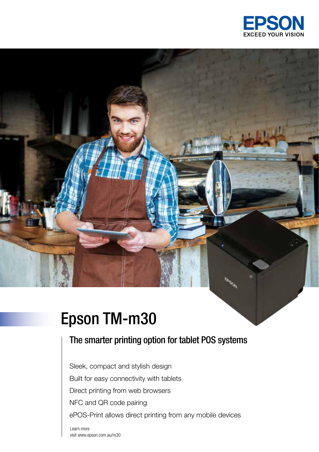

# Epson TM-m30

## The smarter printing option for tablet POS systems

Sleek, compact and stylish design Built for easy connectivity with tablets Direct printing from web browsers NFC and QR code pairing ePOS-Print allows direct printing from any mobile devices

Learn more visit www.epson.com.au/m30